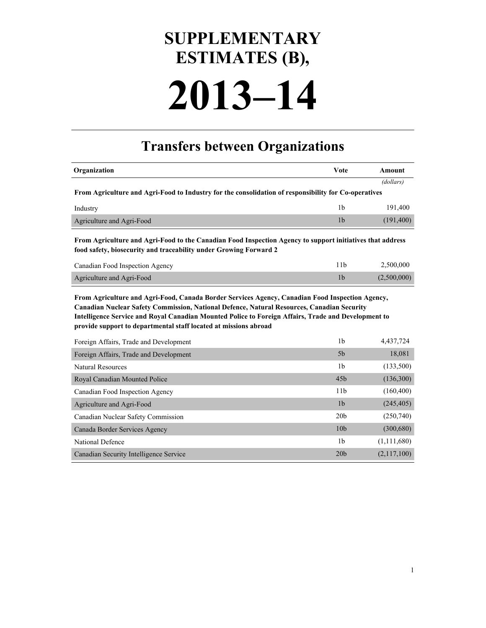## **SUPPLEMENTARY ESTIMATES (B),**

# **2013–14**

### **Transfers between Organizations**

| Organization                                                                                                                                                                                                                                                                                                                                                             | Vote            | <b>Amount</b> |
|--------------------------------------------------------------------------------------------------------------------------------------------------------------------------------------------------------------------------------------------------------------------------------------------------------------------------------------------------------------------------|-----------------|---------------|
|                                                                                                                                                                                                                                                                                                                                                                          |                 | (dollars)     |
| From Agriculture and Agri-Food to Industry for the consolidation of responsibility for Co-operatives                                                                                                                                                                                                                                                                     |                 |               |
| Industry                                                                                                                                                                                                                                                                                                                                                                 | 1 <sub>b</sub>  | 191,400       |
| Agriculture and Agri-Food                                                                                                                                                                                                                                                                                                                                                | 1 <sub>b</sub>  | (191, 400)    |
| From Agriculture and Agri-Food to the Canadian Food Inspection Agency to support initiatives that address<br>food safety, biosecurity and traceability under Growing Forward 2                                                                                                                                                                                           |                 |               |
| Canadian Food Inspection Agency                                                                                                                                                                                                                                                                                                                                          | 11 <sub>b</sub> | 2,500,000     |
| Agriculture and Agri-Food                                                                                                                                                                                                                                                                                                                                                | 1 <sub>b</sub>  | (2,500,000)   |
| From Agriculture and Agri-Food, Canada Border Services Agency, Canadian Food Inspection Agency,<br>Canadian Nuclear Safety Commission, National Defence, Natural Resources, Canadian Security<br>Intelligence Service and Royal Canadian Mounted Police to Foreign Affairs, Trade and Development to<br>provide support to departmental staff located at missions abroad |                 |               |
| Foreign Affairs, Trade and Development                                                                                                                                                                                                                                                                                                                                   | 1 <sub>b</sub>  | 4,437,724     |
| Foreign Affairs, Trade and Development                                                                                                                                                                                                                                                                                                                                   | 5 <sub>b</sub>  | 18,081        |
| <b>Natural Resources</b>                                                                                                                                                                                                                                                                                                                                                 | 1 <sub>b</sub>  | (133,500)     |
| Royal Canadian Mounted Police                                                                                                                                                                                                                                                                                                                                            | 45 <sub>b</sub> | (136,300)     |
| Canadian Food Inspection Agency                                                                                                                                                                                                                                                                                                                                          | 11 <sub>b</sub> | (160, 400)    |
| Agriculture and Agri-Food                                                                                                                                                                                                                                                                                                                                                | 1 <sub>b</sub>  | (245, 405)    |
| Canadian Nuclear Safety Commission                                                                                                                                                                                                                                                                                                                                       | 20 <sub>b</sub> | (250,740)     |
| Canada Border Services Agency                                                                                                                                                                                                                                                                                                                                            | 10 <sub>b</sub> | (300, 680)    |
| <b>National Defence</b>                                                                                                                                                                                                                                                                                                                                                  | 1 <sub>b</sub>  | (1, 111, 680) |
| Canadian Security Intelligence Service                                                                                                                                                                                                                                                                                                                                   | 20 <sub>b</sub> | (2,117,100)   |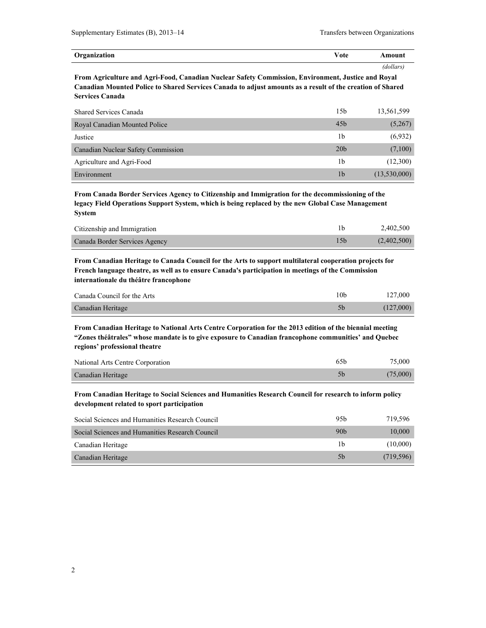| Organization | - -<br>$\sim$ to<br>væ | .mount       |
|--------------|------------------------|--------------|
|              |                        | dollars<br>. |

**From Agriculture and Agri-Food, Canadian Nuclear Safety Commission, Environment, Justice and Royal Canadian Mounted Police to Shared Services Canada to adjust amounts as a result of the creation of Shared Services Canada**

| <b>Shared Services Canada</b>      | 15 <sub>b</sub> | 13,561,599   |
|------------------------------------|-----------------|--------------|
| Royal Canadian Mounted Police      | 45 <sub>b</sub> | (5,267)      |
| Justice                            | 1b              | (6,932)      |
| Canadian Nuclear Safety Commission | 20 <sub>b</sub> | (7,100)      |
| Agriculture and Agri-Food          | 1b              | (12,300)     |
| Environment                        | 1 <sub>b</sub>  | (13,530,000) |

**From Canada Border Services Agency to Citizenship and Immigration for the decommissioning of the legacy Field Operations Support System, which is being replaced by the new Global Case Management System**

| Citizenship and Immigration   | 2.402.500   |
|-------------------------------|-------------|
| Canada Border Services Agency | (2,402,500) |

**From Canadian Heritage to Canada Council for the Arts to support multilateral cooperation projects for French language theatre, as well as to ensure Canada's participation in meetings of the Commission internationale du théâtre francophone**

| Canada Council for the Arts | 10b | 127,000   |
|-----------------------------|-----|-----------|
| Canadian Heritage           |     | (127,000) |

**From Canadian Heritage to National Arts Centre Corporation for the 2013 edition of the biennial meeting "Zones théâtrales" whose mandate is to give exposure to Canadian francophone communities' and Quebec regions' professional theatre**

| National Arts Centre Corporation | 65b | 75.000   |
|----------------------------------|-----|----------|
| Canadian Heritage                |     | (75,000) |

**From Canadian Heritage to Social Sciences and Humanities Research Council for research to inform policy development related to sport participation**

| Social Sciences and Humanities Research Council | 95 <sub>b</sub> | 719.596   |
|-------------------------------------------------|-----------------|-----------|
| Social Sciences and Humanities Research Council | 90 <sub>b</sub> | 10,000    |
| Canadian Heritage                               | 1b              | (10,000)  |
| Canadian Heritage                               | 5 <sub>b</sub>  | (719.596) |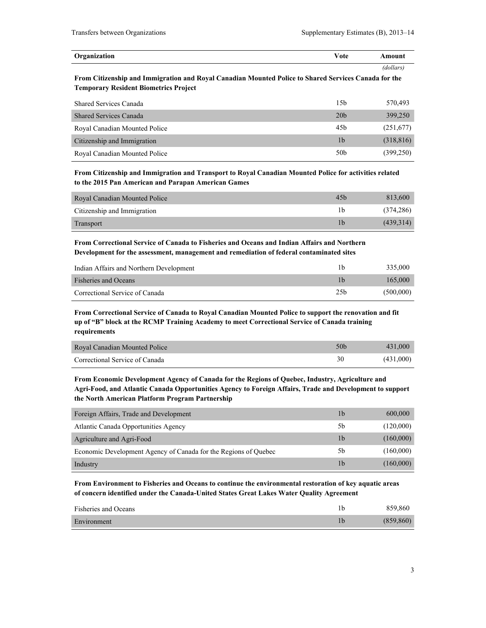| Organization | Vote | Amount    |
|--------------|------|-----------|
|              |      | (dollars) |

**From Citizenship and Immigration and Royal Canadian Mounted Police to Shared Services Canada for the Temporary Resident Biometrics Project**

| <b>Shared Services Canada</b> | 15b             | 570.493    |
|-------------------------------|-----------------|------------|
| <b>Shared Services Canada</b> | 20 <sub>b</sub> | 399,250    |
| Royal Canadian Mounted Police | 45b             | (251,677)  |
| Citizenship and Immigration   | 1b              | (318, 816) |
| Royal Canadian Mounted Police | 50 <sub>b</sub> | (399, 250) |

**From Citizenship and Immigration and Transport to Royal Canadian Mounted Police for activities related to the 2015 Pan American and Parapan American Games**

| Royal Canadian Mounted Police | 45 <sub>b</sub> | 813,600    |
|-------------------------------|-----------------|------------|
| Citizenship and Immigration   |                 | (374, 286) |
| Transport                     |                 | (439,314)  |

**From Correctional Service of Canada to Fisheries and Oceans and Indian Affairs and Northern Development for the assessment, management and remediation of federal contaminated sites**

| Indian Affairs and Northern Development |                 | 335,000   |
|-----------------------------------------|-----------------|-----------|
| <b>Fisheries and Oceans</b>             |                 | 165,000   |
| Correctional Service of Canada          | 25 <sub>h</sub> | (500,000) |

**From Correctional Service of Canada to Royal Canadian Mounted Police to support the renovation and fit up of "B" block at the RCMP Training Academy to meet Correctional Service of Canada training requirements**

| <b>Royal Canadian Mounted Police</b> | 50 <sub>b</sub> | 431,000   |
|--------------------------------------|-----------------|-----------|
| Correctional Service of Canada       |                 | (431,000) |

**From Economic Development Agency of Canada for the Regions of Quebec, Industry, Agriculture and Agri-Food, and Atlantic Canada Opportunities Agency to Foreign Affairs, Trade and Development to support the North American Platform Program Partnership**

| Foreign Affairs, Trade and Development                          | 1b             | 600,000   |
|-----------------------------------------------------------------|----------------|-----------|
| <b>Atlantic Canada Opportunities Agency</b>                     | 5b             | (120,000) |
| Agriculture and Agri-Food                                       | 1 <sub>b</sub> | (160,000) |
| Economic Development Agency of Canada for the Regions of Quebec | 5b             | (160,000) |
| Industry                                                        | 1b             | (160,000) |

**From Environment to Fisheries and Oceans to continue the environmental restoration of key aquatic areas of concern identified under the Canada-United States Great Lakes Water Quality Agreement**

| Fisheries and Oceans | 859.860    |
|----------------------|------------|
| Environment          | (859, 860) |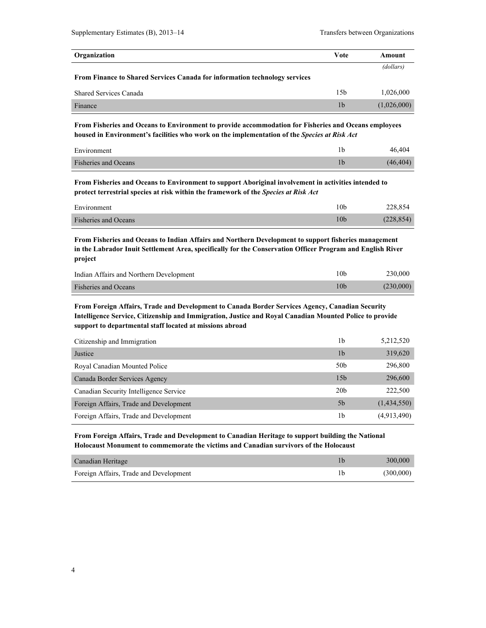| Organization                                                               | <b>Vote</b>    | Amount      |
|----------------------------------------------------------------------------|----------------|-------------|
|                                                                            |                | (dollars)   |
| From Finance to Shared Services Canada for information technology services |                |             |
| <b>Shared Services Canada</b>                                              | 15b            | 1.026.000   |
| Finance                                                                    | 1 <sub>b</sub> | (1,026,000) |

**From Fisheries and Oceans to Environment to provide accommodation for Fisheries and Oceans employees housed in Environment's facilities who work on the implementation of the** *Species at Risk Act*

| Environment                 | 46.404    |
|-----------------------------|-----------|
| <b>Fisheries and Oceans</b> | (46, 404) |

**From Fisheries and Oceans to Environment to support Aboriginal involvement in activities intended to protect terrestrial species at risk within the framework of the** *Species at Risk Act*

| Environment                 | 10 <sub>b</sub> | 228,854    |
|-----------------------------|-----------------|------------|
| <b>Fisheries and Oceans</b> | 10b             | (228, 854) |

**From Fisheries and Oceans to Indian Affairs and Northern Development to support fisheries management in the Labrador Inuit Settlement Area, specifically for the Conservation Officer Program and English River project**

| Indian Affairs and Northern Development | 10b             | 230,000   |
|-----------------------------------------|-----------------|-----------|
| <b>Fisheries and Oceans</b>             | 10 <sub>b</sub> | (230,000) |

**From Foreign Affairs, Trade and Development to Canada Border Services Agency, Canadian Security Intelligence Service, Citizenship and Immigration, Justice and Royal Canadian Mounted Police to provide support to departmental staff located at missions abroad**

| Citizenship and Immigration            | 1b              | 5,212,520   |
|----------------------------------------|-----------------|-------------|
| Justice                                | 1b              | 319,620     |
| Royal Canadian Mounted Police          | 50 <sub>b</sub> | 296,800     |
| Canada Border Services Agency          | 15 <sub>b</sub> | 296,600     |
| Canadian Security Intelligence Service | 20 <sub>b</sub> | 222,500     |
| Foreign Affairs, Trade and Development | 5 <sub>b</sub>  | (1,434,550) |
| Foreign Affairs, Trade and Development | 1b              | (4,913,490) |

**From Foreign Affairs, Trade and Development to Canadian Heritage to support building the National Holocaust Monument to commemorate the victims and Canadian survivors of the Holocaust**

| Canadian Heritage                      | 300,000   |
|----------------------------------------|-----------|
| Foreign Affairs, Trade and Development | (300,000) |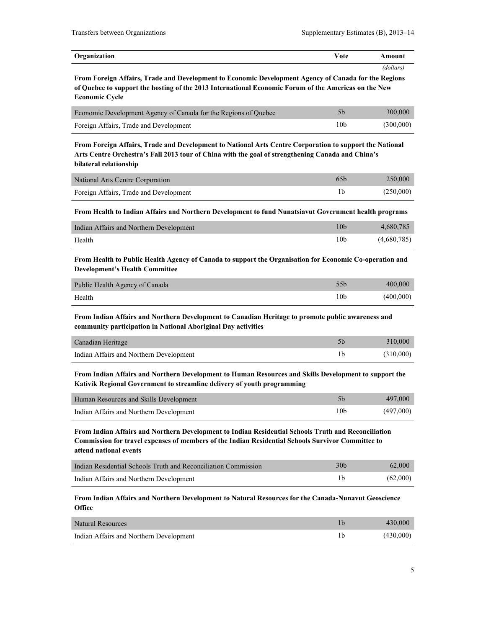| Organization                                                                                                                                                                                                                           | Vote            | Amount      |
|----------------------------------------------------------------------------------------------------------------------------------------------------------------------------------------------------------------------------------------|-----------------|-------------|
| From Foreign Affairs, Trade and Development to Economic Development Agency of Canada for the Regions                                                                                                                                   |                 | (dollars)   |
| of Quebec to support the hosting of the 2013 International Economic Forum of the Americas on the New<br><b>Economic Cycle</b>                                                                                                          |                 |             |
| Economic Development Agency of Canada for the Regions of Quebec                                                                                                                                                                        | 5 <sub>b</sub>  | 300,000     |
| Foreign Affairs, Trade and Development                                                                                                                                                                                                 | 10 <sub>b</sub> | (300,000)   |
| From Foreign Affairs, Trade and Development to National Arts Centre Corporation to support the National<br>Arts Centre Orchestra's Fall 2013 tour of China with the goal of strengthening Canada and China's<br>bilateral relationship |                 |             |
| <b>National Arts Centre Corporation</b>                                                                                                                                                                                                | 65 <sub>b</sub> | 250,000     |
| Foreign Affairs, Trade and Development                                                                                                                                                                                                 | 1 <sub>b</sub>  | (250,000)   |
| From Health to Indian Affairs and Northern Development to fund Nunatsiavut Government health programs                                                                                                                                  |                 |             |
| Indian Affairs and Northern Development                                                                                                                                                                                                | 10 <sub>b</sub> | 4,680,785   |
| Health                                                                                                                                                                                                                                 | 10 <sub>b</sub> | (4,680,785) |
| From Health to Public Health Agency of Canada to support the Organisation for Economic Co-operation and<br><b>Development's Health Committee</b>                                                                                       |                 |             |
| Public Health Agency of Canada                                                                                                                                                                                                         | 55 <sub>h</sub> | 400,000     |
| Health                                                                                                                                                                                                                                 | 10 <sub>b</sub> | (400,000)   |

**From Indian Affairs and Northern Development to Canadian Heritage to promote public awareness and community participation in National Aboriginal Day activities**

| Canadian Heritage                       | 310,000   |
|-----------------------------------------|-----------|
| Indian Affairs and Northern Development | (310,000) |

**From Indian Affairs and Northern Development to Human Resources and Skills Development to support the Kativik Regional Government to streamline delivery of youth programming**

| Human Resources and Skills Development  |                 | 497,000   |
|-----------------------------------------|-----------------|-----------|
| Indian Affairs and Northern Development | 10 <sub>b</sub> | (497,000) |

**From Indian Affairs and Northern Development to Indian Residential Schools Truth and Reconciliation Commission for travel expenses of members of the Indian Residential Schools Survivor Committee to attend national events**

| Indian Residential Schools Truth and Reconciliation Commission | 30 <sub>b</sub> | 62,000   |
|----------------------------------------------------------------|-----------------|----------|
| Indian Affairs and Northern Development                        |                 | (62,000) |

#### **From Indian Affairs and Northern Development to Natural Resources for the Canada-Nunavut Geoscience Office**

| Natural Resources                       | 430,000   |
|-----------------------------------------|-----------|
| Indian Affairs and Northern Development | (430,000) |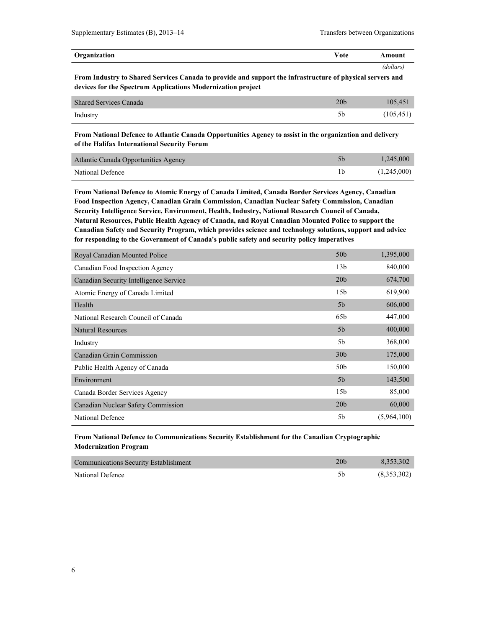| Organization | $\mathbf{v}$<br>/ ∩ ‡ ∩<br>ote | \moun\    |
|--------------|--------------------------------|-----------|
|              |                                | 'dollars. |

**From Industry to Shared Services Canada to provide and support the infrastructure of physical servers and devices for the Spectrum Applications Modernization project**

| <b>Shared Services Canada</b> | 20 <sub>b</sub> | 105.451    |
|-------------------------------|-----------------|------------|
| Industry                      |                 | (105, 451) |

**From National Defence to Atlantic Canada Opportunities Agency to assist in the organization and delivery of the Halifax International Security Forum**

| Atlantic Canada Opportunities Agency | 1.245,000   |
|--------------------------------------|-------------|
| National Defence                     | (1,245,000) |

**From National Defence to Atomic Energy of Canada Limited, Canada Border Services Agency, Canadian Food Inspection Agency, Canadian Grain Commission, Canadian Nuclear Safety Commission, Canadian Security Intelligence Service, Environment, Health, Industry, National Research Council of Canada, Natural Resources, Public Health Agency of Canada, and Royal Canadian Mounted Police to support the Canadian Safety and Security Program, which provides science and technology solutions, support and advice for responding to the Government of Canada's public safety and security policy imperatives**

| Royal Canadian Mounted Police          | 50 <sub>b</sub> | 1,395,000   |
|----------------------------------------|-----------------|-------------|
| Canadian Food Inspection Agency        | 13 <sub>b</sub> | 840,000     |
| Canadian Security Intelligence Service | 20 <sub>b</sub> | 674,700     |
| Atomic Energy of Canada Limited        | 15 <sub>b</sub> | 619,900     |
| Health                                 | 5 <sub>b</sub>  | 606,000     |
| National Research Council of Canada    | 65b             | 447,000     |
| <b>Natural Resources</b>               | 5 <sub>b</sub>  | 400,000     |
| Industry                               | 5b              | 368,000     |
| Canadian Grain Commission              | 30 <sub>b</sub> | 175,000     |
| Public Health Agency of Canada         | 50 <sub>b</sub> | 150,000     |
| Environment                            | 5 <sub>b</sub>  | 143,500     |
| Canada Border Services Agency          | 15 <sub>b</sub> | 85,000      |
| Canadian Nuclear Safety Commission     | 20 <sub>b</sub> | 60,000      |
| National Defence                       | 5b              | (5,964,100) |

#### **From National Defence to Communications Security Establishment for the Canadian Cryptographic Modernization Program**

| <b>Communications Security Establishment</b> | 20b | 8.353.302   |
|----------------------------------------------|-----|-------------|
| National Defence                             |     | (8,353,302) |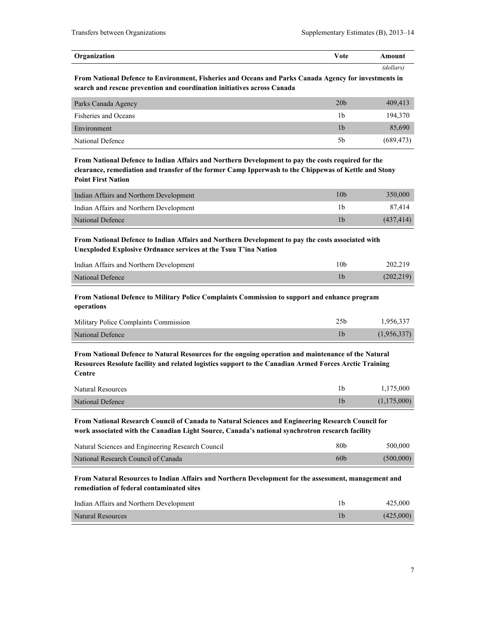| Organization | √ote | `mount   |
|--------------|------|----------|
|              |      | dollars! |

**From National Defence to Environment, Fisheries and Oceans and Parks Canada Agency for investments in search and rescue prevention and coordination initiatives across Canada**

| Parks Canada Agency         | 20 <sub>b</sub> | 409,413    |
|-----------------------------|-----------------|------------|
| <b>Fisheries and Oceans</b> | 1b              | 194.370    |
| Environment                 | 1b              | 85,690     |
| National Defence            | 5b              | (689, 473) |

**From National Defence to Indian Affairs and Northern Development to pay the costs required for the clearance, remediation and transfer of the former Camp Ipperwash to the Chippewas of Kettle and Stony Point First Nation**

| Indian Affairs and Northern Development | 10 <sub>b</sub> | 350,000    |
|-----------------------------------------|-----------------|------------|
| Indian Affairs and Northern Development |                 | 87.414     |
| National Defence                        |                 | (437, 414) |

**From National Defence to Indian Affairs and Northern Development to pay the costs associated with Unexploded Explosive Ordnance services at the Tsuu T'ina Nation**

| Indian Affairs and Northern Development | 10b | 202.219    |
|-----------------------------------------|-----|------------|
| National Defence                        |     | (202, 219) |

**From National Defence to Military Police Complaints Commission to support and enhance program operations**

| Military Police Complaints Commission | 1.956.337   |
|---------------------------------------|-------------|
| National Defence                      | (1,956,337) |

**From National Defence to Natural Resources for the ongoing operation and maintenance of the Natural Resources Resolute facility and related logistics support to the Canadian Armed Forces Arctic Training Centre**

| <b>Natural Resources</b> | 1,175,000   |
|--------------------------|-------------|
| National Defence         | (1,175,000) |

**From National Research Council of Canada to Natural Sciences and Engineering Research Council for work associated with the Canadian Light Source, Canada's national synchrotron research facility**

| Natural Sciences and Engineering Research Council | 80 <sub>b</sub> | 500,000   |
|---------------------------------------------------|-----------------|-----------|
| National Research Council of Canada               | 60 <sub>b</sub> | (500,000) |

**From Natural Resources to Indian Affairs and Northern Development for the assessment, management and remediation of federal contaminated sites**

| Indian Affairs and Northern Development | 425,000   |
|-----------------------------------------|-----------|
| <b>Natural Resources</b>                | (425,000) |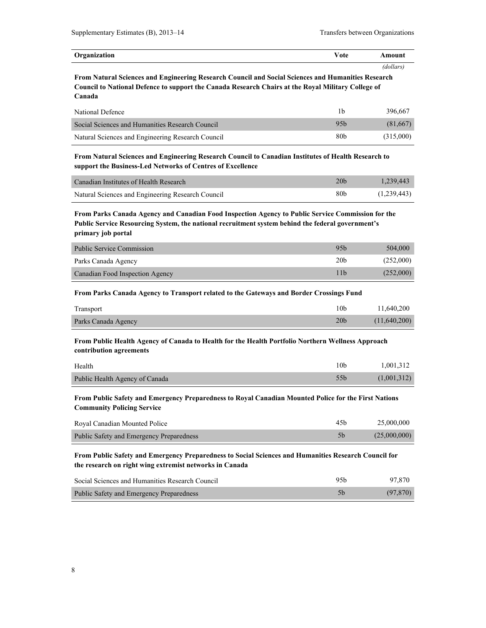| Organization | $V$ ote | Amount    |
|--------------|---------|-----------|
|              |         | (dollars. |

**From Natural Sciences and Engineering Research Council and Social Sciences and Humanities Research Council to National Defence to support the Canada Research Chairs at the Royal Military College of Canada**

| National Defence                                  | 1b.             | 396.667   |
|---------------------------------------------------|-----------------|-----------|
| Social Sciences and Humanities Research Council   | 95 <sub>b</sub> | (81,667)  |
| Natural Sciences and Engineering Research Council | 80 <sub>b</sub> | (315,000) |

**From Natural Sciences and Engineering Research Council to Canadian Institutes of Health Research to support the Business-Led Networks of Centres of Excellence**

| Canadian Institutes of Health Research            | 20 <sub>b</sub> | 1.239.443   |
|---------------------------------------------------|-----------------|-------------|
| Natural Sciences and Engineering Research Council | 80b             | (1,239,443) |

**From Parks Canada Agency and Canadian Food Inspection Agency to Public Service Commission for the Public Service Resourcing System, the national recruitment system behind the federal government's primary job portal**

| Public Service Commission       | 95 <sub>h</sub> | 504,000   |
|---------------------------------|-----------------|-----------|
| Parks Canada Agency             | 20 <sub>b</sub> | (252,000) |
| Canadian Food Inspection Agency | 11b             | (252,000) |

#### **From Parks Canada Agency to Transport related to the Gateways and Border Crossings Fund**

| Transport           | 10b             | 11,640,200   |
|---------------------|-----------------|--------------|
| Parks Canada Agency | 20 <sub>b</sub> | (11,640,200) |

**From Public Health Agency of Canada to Health for the Health Portfolio Northern Wellness Approach contribution agreements**

| Health                         | l Ob | 1,001,312   |
|--------------------------------|------|-------------|
| Public Health Agency of Canada |      | (1,001,312) |

**From Public Safety and Emergency Preparedness to Royal Canadian Mounted Police for the First Nations Community Policing Service**

| Royal Canadian Mounted Police                   | 45b | 25,000,000   |
|-------------------------------------------------|-----|--------------|
| <b>Public Safety and Emergency Preparedness</b> |     | (25,000,000) |

#### **From Public Safety and Emergency Preparedness to Social Sciences and Humanities Research Council for the research on right wing extremist networks in Canada**

| Social Sciences and Humanities Research Council | 95h | 97.870    |
|-------------------------------------------------|-----|-----------|
| Public Safety and Emergency Preparedness        |     | (97, 870) |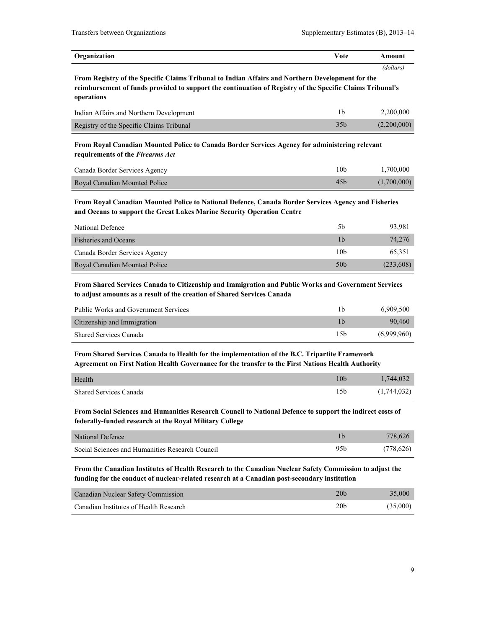| Organization | Vote | Amount    |
|--------------|------|-----------|
|              |      | (dollars) |

**From Registry of the Specific Claims Tribunal to Indian Affairs and Northern Development for the reimbursement of funds provided to support the continuation of Registry of the Specific Claims Tribunal's operations**

| Indian Affairs and Northern Development  |                 | 2.200.000   |
|------------------------------------------|-----------------|-------------|
| Registry of the Specific Claims Tribunal | 35 <sub>b</sub> | (2,200,000) |

**From Royal Canadian Mounted Police to Canada Border Services Agency for administering relevant requirements of the** *Firearms Act*

| Canada Border Services Agency | 10b             | 1.700.000   |
|-------------------------------|-----------------|-------------|
| Royal Canadian Mounted Police | 45 <sub>b</sub> | (1,700,000) |

**From Royal Canadian Mounted Police to National Defence, Canada Border Services Agency and Fisheries and Oceans to support the Great Lakes Marine Security Operation Centre**

| National Defence              | 5b              | 93,981    |
|-------------------------------|-----------------|-----------|
| <b>Fisheries and Oceans</b>   | 1b              | 74.276    |
| Canada Border Services Agency | 10 <sub>b</sub> | 65,351    |
| Royal Canadian Mounted Police | 50 <sub>b</sub> | (233,608) |

**From Shared Services Canada to Citizenship and Immigration and Public Works and Government Services to adjust amounts as a result of the creation of Shared Services Canada**

| <b>Public Works and Government Services</b> | 1b  | 6.909.500   |
|---------------------------------------------|-----|-------------|
| Citizenship and Immigration                 |     | 90.460      |
| <b>Shared Services Canada</b>               | 15b | (6.999.960) |

**From Shared Services Canada to Health for the implementation of the B.C. Tripartite Framework Agreement on First Nation Health Governance for the transfer to the First Nations Health Authority**

| Health                        | 1,744,032   |
|-------------------------------|-------------|
| <b>Shared Services Canada</b> | (1,744,032) |

**From Social Sciences and Humanities Research Council to National Defence to support the indirect costs of federally-funded research at the Royal Military College**

| National Defence                                |     | 778.626   |
|-------------------------------------------------|-----|-----------|
| Social Sciences and Humanities Research Council | 95b | (778,626) |

**From the Canadian Institutes of Health Research to the Canadian Nuclear Safety Commission to adjust the funding for the conduct of nuclear-related research at a Canadian post-secondary institution**

| Canadian Nuclear Safety Commission     | 20 <sub>b</sub> | 35,000   |
|----------------------------------------|-----------------|----------|
| Canadian Institutes of Health Research | 20 <sub>b</sub> | (35,000) |